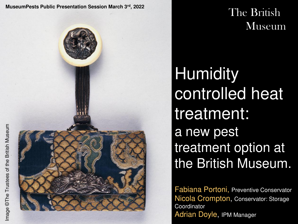**MuseumPests Public Presentation Session March 3rd, 2022**



The British **Museum** 

**Humidity** controlled heat treatment: a new pest treatment option at the British Museum.

Fabiana Portoni, Preventive Conservator Nicola Crompton, Conservator: Storage **Coordinator** Adrian Doyle, IPM Manager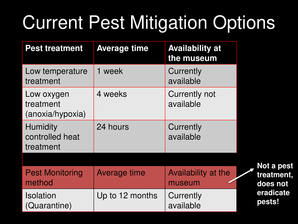### Current Pest Mitigation Options

| <b>Pest treatment</b>                           | <b>Average time</b> | <b>Availability at</b><br>the museum |                        |
|-------------------------------------------------|---------------------|--------------------------------------|------------------------|
| Low temperature<br>treatment                    | 1 week              | Currently<br>available               |                        |
| Low oxygen<br>treatment<br>(anoxia/hypoxia)     | 4 weeks             | <b>Currently not</b><br>available    |                        |
| <b>Humidity</b><br>controlled heat<br>treatment | 24 hours            | Currently<br>available               |                        |
|                                                 |                     |                                      | Not a pest             |
| <b>Pest Monitoring</b><br>method                | Average time        | Availability at the<br>museum        | treatment,<br>does not |
| <b>Isolation</b><br>(Quarantine)                | Up to 12 months     | Currently<br>available               | eradicate<br>pests!    |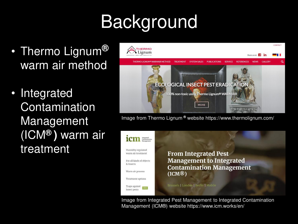# Background

- Thermo Lignum**®**  warm air method
- **Integrated** Contamination Management (ICM**® )** warm air treatment



Image from Thermo Lignum **®** website https://www.thermolignum.com/



Image from Integrated Pest Management to Integrated Contamination Management (ICM®) website https://www.icm.works/en/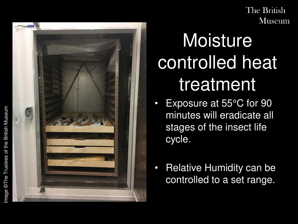

### Moisture controlled heat treatment

- Exposure at 55°C for 90 minutes will eradicate all stages of the insect life cycle.
- Relative Humidity can be controlled to a set range.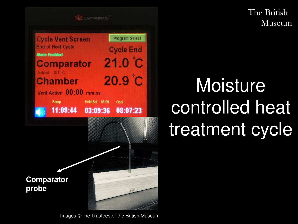

### Moisture controlled heat treatment cycle

Images ©The Trustees of the British Museum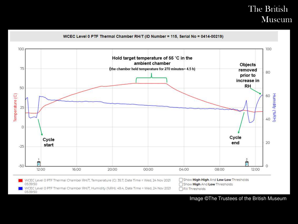

#### Image ©The Trustees of the British Museum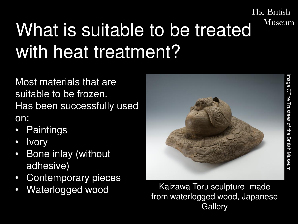### The British Museum What is suitable to be treated with heat treatment?

Most materials that are suitable to be frozen. Has been successfully used on:

- **Paintings**
- **Ivory**
- Bone inlay (without adhesive)
- Contemporary pieces
- 



Waterlogged wood Kaizawa Toru sculpture- made from waterlogged wood, Japanese **Gallery**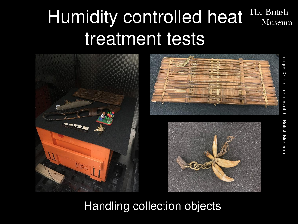### Humidity controlled heat The British Museum treatment tests







### Handling collection objects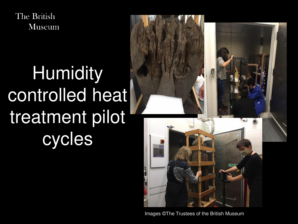## **Humidity** controlled heat treatment pilot cycles



Images ©The Trustees of the British Museum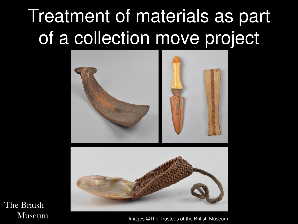### Treatment of materials as part of a collection move project





The British **Museum** 

Images ©The Trustees of the British Museum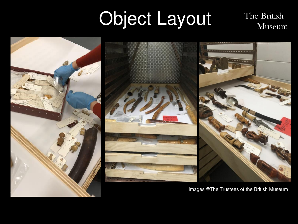#### Object LayoutThe British Museum



Images ©The Trustees of the British Museum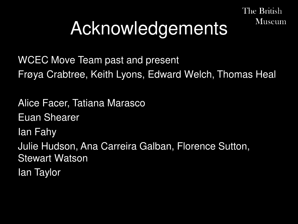# Acknowledgements

The British

**Museum** 

WCEC Move Team past and present Frøya Crabtree, Keith Lyons, Edward Welch, Thomas Heal

Alice Facer, Tatiana Marasco Euan Shearer Ian Fahy Julie Hudson, Ana Carreira Galban, Florence Sutton, Stewart Watson Ian Taylor